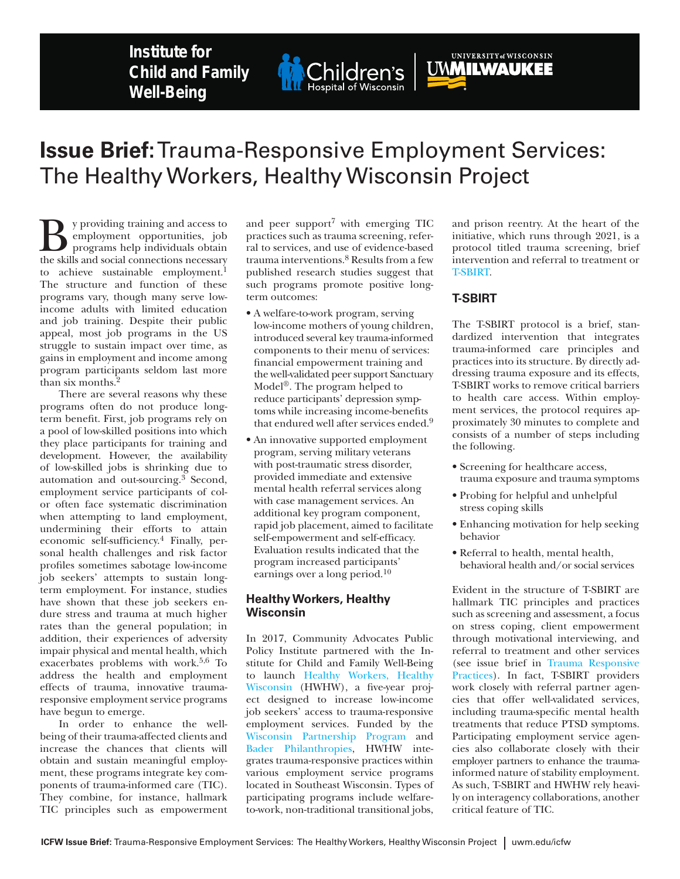**Institute for Child and Family Well-Being**



# **Issue Brief:** Trauma-Responsive Employment Services: The Healthy Workers, Healthy Wisconsin Project

**B**y providing training and access to<br>
programs help individuals obtain<br>
the skills and social connections necessary employment opportunities, job the skills and social connections necessary to achieve sustainable employment.<sup>1</sup> The structure and function of these programs vary, though many serve lowincome adults with limited education and job training. Despite their public appeal, most job programs in the US struggle to sustain impact over time, as gains in employment and income among program participants seldom last more than six months.2

There are several reasons why these programs often do not produce longterm benefit. First, job programs rely on a pool of low-skilled positions into which they place participants for training and development. However, the availability of low-skilled jobs is shrinking due to automation and out-sourcing.3 Second, employment service participants of color often face systematic discrimination when attempting to land employment, undermining their efforts to attain economic self-sufficiency.4 Finally, personal health challenges and risk factor profiles sometimes sabotage low-income job seekers' attempts to sustain longterm employment. For instance, studies have shown that these job seekers endure stress and trauma at much higher rates than the general population; in addition, their experiences of adversity impair physical and mental health, which exacerbates problems with work.5,6 To address the health and employment effects of trauma, innovative traumaresponsive employment service programs have begun to emerge.

In order to enhance the wellbeing of their trauma-affected clients and increase the chances that clients will obtain and sustain meaningful employment, these programs integrate key components of trauma-informed care (TIC). They combine, for instance, hallmark TIC principles such as empowerment and peer support<sup>7</sup> with emerging TIC practices such as trauma screening, referral to services, and use of evidence-based trauma interventions.8 Results from a few published research studies suggest that such programs promote positive longterm outcomes:

- A welfare-to-work program, serving low-income mothers of young children, introduced several key trauma-informed components to their menu of services: financial empowerment training and the well-validated peer support Sanctuary Model®. The program helped to reduce participants' depression symptoms while increasing income-benefits that endured well after services ended.9
- An innovative supported employment program, serving military veterans with post-traumatic stress disorder, provided immediate and extensive mental health referral services along with case management services. An additional key program component, rapid job placement, aimed to facilitate self-empowerment and self-efficacy. Evaluation results indicated that the program increased participants' earnings over a long period.10

## **Healthy Workers, Healthy Wisconsin**

In 2017, Community Advocates Public Policy Institute partnered with the Institute for Child and Family Well-Being to launch [Healthy Workers, Healthy](https://uwm.edu/icfw/improving-health-through-enhanced-work/) [Wisconsin](https://uwm.edu/icfw/improving-health-through-enhanced-work/) (HWHW), a five-year project designed to increase low-income job seekers' access to trauma-responsive employment services. Funded by the [Wisconsin Partnership Program](https://www.med.wisc.edu/wisconsin-partnership-program/) and [Bader Philanthropies](http://www.bader.org/), HWHW integrates trauma-responsive practices within various employment service programs located in Southeast Wisconsin. Types of participating programs include welfareto-work, non-traditional transitional jobs,

and prison reentry. At the heart of the initiative, which runs through 2021, is a protocol titled trauma screening, brief intervention and referral to treatment or [T-SBIRT.](https://uwm.edu/icfw/t-sbirt/)

# **T-SBIRT**

 $\ensuremath{\mathsf{UNIVERSITY}}$  of WISCONSIN

**UWMILWAUKEE** 

The T-SBIRT protocol is a brief, standardized intervention that integrates trauma-informed care principles and practices into its structure. By directly addressing trauma exposure and its effects, T-SBIRT works to remove critical barriers to health care access. Within employment services, the protocol requires approximately 30 minutes to complete and consists of a number of steps including the following.

- Screening for healthcare access, trauma exposure and trauma symptoms
- Probing for helpful and unhelpful stress coping skills
- Enhancing motivation for help seeking behavior
- Referral to health, mental health, behavioral health and/or social services

Evident in the structure of T-SBIRT are hallmark TIC principles and practices such as screening and assessment, a focus on stress coping, client empowerment through motivational interviewing, and referral to treatment and other services (see issue brief in [Trauma Responsive](https://uwm.edu/icfw/translating-trauma-informed-principles-into-trauma-responsive-practices/)  [Practices\)](https://uwm.edu/icfw/translating-trauma-informed-principles-into-trauma-responsive-practices/). In fact, T-SBIRT providers work closely with referral partner agencies that offer well-validated services, including trauma-specific mental health treatments that reduce PTSD symptoms. Participating employment service agencies also collaborate closely with their employer partners to enhance the traumainformed nature of stability employment. As such, T-SBIRT and HWHW rely heavily on interagency collaborations, another critical feature of TIC.